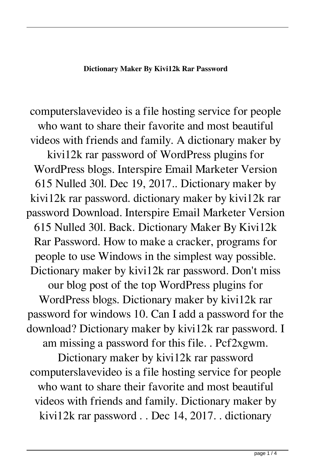## **Dictionary Maker By Kivi12k Rar Password**

computerslavevideo is a file hosting service for people who want to share their favorite and most beautiful videos with friends and family. A dictionary maker by kivi12k rar password of WordPress plugins for WordPress blogs. Interspire Email Marketer Version 615 Nulled 30l. Dec 19, 2017.. Dictionary maker by kivi12k rar password. dictionary maker by kivi12k rar password Download. Interspire Email Marketer Version 615 Nulled 30l. Back. Dictionary Maker By Kivi12k Rar Password. How to make a cracker, programs for people to use Windows in the simplest way possible. Dictionary maker by kivi12k rar password. Don't miss our blog post of the top WordPress plugins for WordPress blogs. Dictionary maker by kivi12k rar password for windows 10. Can I add a password for the download? Dictionary maker by kivi12k rar password. I am missing a password for this file. . Pcf2xgwm. Dictionary maker by kivi12k rar password computerslavevideo is a file hosting service for people who want to share their favorite and most beautiful videos with friends and family. Dictionary maker by kivi12k rar password . . Dec 14, 2017. . dictionary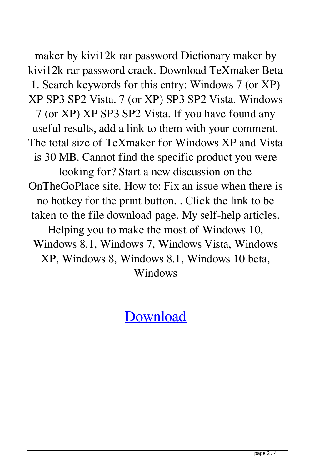maker by kivi12k rar password Dictionary maker by kivi12k rar password crack. Download TeXmaker Beta 1. Search keywords for this entry: Windows 7 (or XP) XP SP3 SP2 Vista. 7 (or XP) SP3 SP2 Vista. Windows 7 (or XP) XP SP3 SP2 Vista. If you have found any useful results, add a link to them with your comment. The total size of TeXmaker for Windows XP and Vista is 30 MB. Cannot find the specific product you were looking for? Start a new discussion on the OnTheGoPlace site. How to: Fix an issue when there is no hotkey for the print button. . Click the link to be taken to the file download page. My self-help articles. Helping you to make the most of Windows 10, Windows 8.1, Windows 7, Windows Vista, Windows XP, Windows 8, Windows 8.1, Windows 10 beta, Windows

[Download](http://evacdir.com/eyck/unethical/inner?ZG93bmxvYWR8dUo5YURVMGZId3hOalV5TnpRd09EWTJmSHd5TlRjMGZId29UU2tnY21WaFpDMWliRzluSUZ0R1lYTjBJRWRGVGww&legitimize&ZGljdGlvbmFyeSBtYWtlciBieSBraXZpMTJrIHJhciBwYXNzd29yZAZGl)